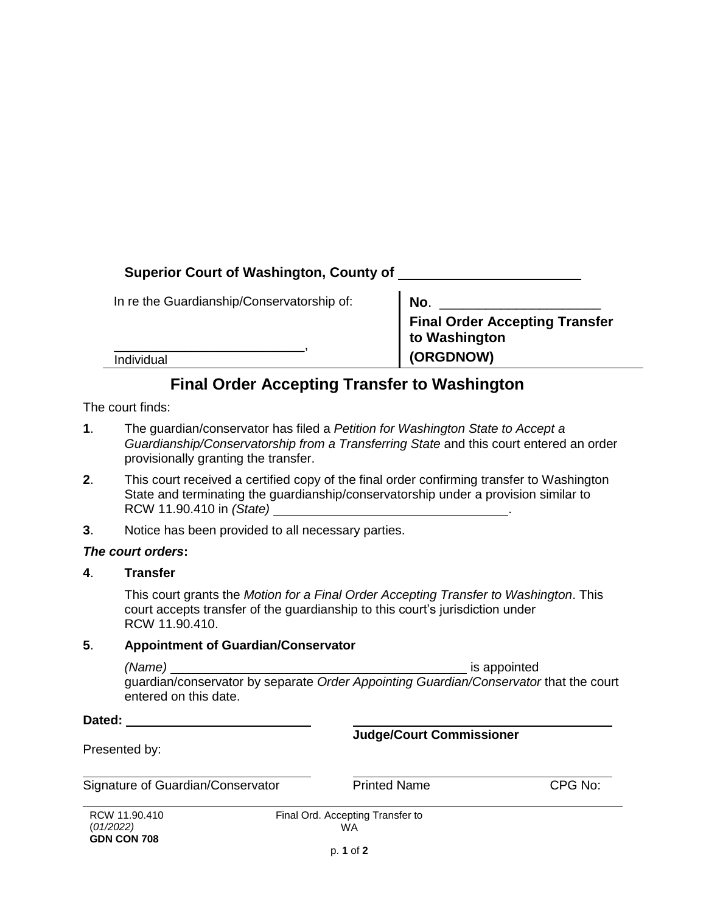## **Superior Court of Washington, County of**

In re the Guardianship/Conservatorship of:

\_\_\_\_\_\_\_\_\_\_\_\_\_\_\_\_\_\_\_\_\_\_\_\_\_\_\_,

| No.                                   |
|---------------------------------------|
| <b>Final Order Accepting Transfer</b> |
| to Washington                         |
| (ORGDNOW)                             |

Individual

# **Final Order Accepting Transfer to Washington**

The court finds:

- **1**. The guardian/conservator has filed a *Petition for Washington State to Accept a Guardianship/Conservatorship from a Transferring State* and this court entered an order provisionally granting the transfer.
- **2**. This court received a certified copy of the final order confirming transfer to Washington State and terminating the guardianship/conservatorship under a provision similar to RCW 11.90.410 in *(State)* .
- **3**. Notice has been provided to all necessary parties.

### *The court orders***:**

### **4**. **Transfer**

This court grants the *Motion for a Final Order Accepting Transfer to Washington*. This court accepts transfer of the guardianship to this court's jurisdiction under RCW 11.90.410.

### **5**. **Appointment of Guardian/Conservator**

*(Name)* is appointed guardian/conservator by separate *Order Appointing Guardian/Conservator* that the court entered on this date.

**Dated:**

**Judge/Court Commissioner**

Presented by:

Signature of Guardian/Conservator **Printed Name** CPG No:

RCW 11.90.410 (*01/2022)*  **GDN CON 708**